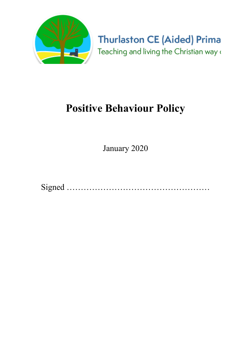

**Thurlaston CE (Aided) Prima** Teaching and living the Christian way (

# Positive Behaviour Policy

January 2020

Signed ……………………………………………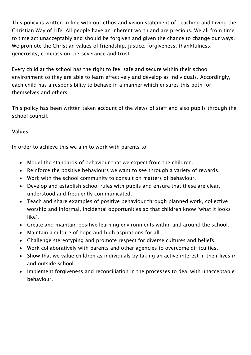This policy is written in line with our ethos and vision statement of Teaching and Living the Christian Way of Life. All people have an inherent worth and are precious. We all from time to time act unacceptably and should be forgiven and given the chance to change our ways. We promote the Christian values of friendship, justice, forgiveness, thankfulness, generosity, compassion, perseverance and trust.

Every child at the school has the right to feel safe and secure within their school environment so they are able to learn effectively and develop as individuals. Accordingly, each child has a responsibility to behave in a manner which ensures this both for themselves and others.

This policy has been written taken account of the views of staff and also pupils through the school council.

## Values

In order to achieve this we aim to work with parents to:

- Model the standards of behaviour that we expect from the children.
- Reinforce the positive behaviours we want to see through a variety of rewards.
- Work with the school community to consult on matters of behaviour.
- Develop and establish school rules with pupils and ensure that these are clear, understood and frequently communicated.
- Teach and share examples of positive behaviour through planned work, collective worship and informal, incidental opportunities so that children know 'what it looks like'.
- Create and maintain positive learning environments within and around the school.
- Maintain a culture of hope and high aspirations for all.
- Challenge stereotyping and promote respect for diverse cultures and beliefs.
- Work collaboratively with parents and other agencies to overcome difficulties.
- Show that we value children as individuals by taking an active interest in their lives in and outside school.
- Implement forgiveness and reconciliation in the processes to deal with unacceptable behaviour.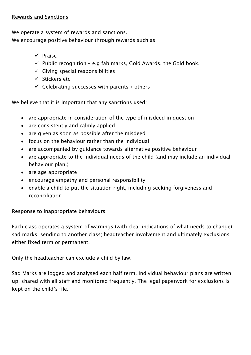#### Rewards and Sanctions

We operate a system of rewards and sanctions.

We encourage positive behaviour through rewards such as:

- $\checkmark$  Praise
- $\checkmark$  Public recognition e.g fab marks, Gold Awards, the Gold book,
- $\checkmark$  Giving special responsibilities
- $\checkmark$  Stickers etc
- $\checkmark$  Celebrating successes with parents / others

We believe that it is important that any sanctions used:

- are appropriate in consideration of the type of misdeed in question
- are consistently and calmly applied
- are given as soon as possible after the misdeed
- focus on the behaviour rather than the individual
- are accompanied by guidance towards alternative positive behaviour
- are appropriate to the individual needs of the child (and may include an individual behaviour plan.)
- are age appropriate
- encourage empathy and personal responsibility
- enable a child to put the situation right, including seeking forgiveness and reconciliation.

## Response to inappropriate behaviours

Each class operates a system of warnings (with clear indications of what needs to change); sad marks; sending to another class; headteacher involvement and ultimately exclusions either fixed term or permanent.

Only the headteacher can exclude a child by law.

Sad Marks are logged and analysed each half term. Individual behaviour plans are written up, shared with all staff and monitored frequently. The legal paperwork for exclusions is kept on the child's file.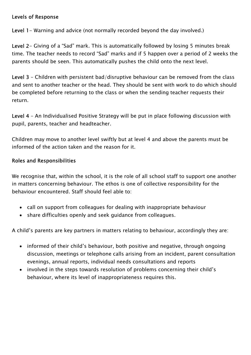#### Levels of Response

Level 1 – Warning and advice (not normally recorded beyond the day involved.)

Level 2- Giving of a "Sad" mark. This is automatically followed by losing 5 minutes break time. The teacher needs to record "Sad" marks and if 5 happen over a period of 2 weeks the parents should be seen. This automatically pushes the child onto the next level.

Level 3 – Children with persistent bad/disruptive behaviour can be removed from the class and sent to another teacher or the head. They should be sent with work to do which should be completed before returning to the class or when the sending teacher requests their return.

Level 4 – An Individualised Positive Strategy will be put in place following discussion with pupil, parents, teacher and headteacher.

Children may move to another level swiftly but at level 4 and above the parents must be informed of the action taken and the reason for it.

## Roles and Responsibilities

We recognise that, within the school, it is the role of all school staff to support one another in matters concerning behaviour. The ethos is one of collective responsibility for the behaviour encountered. Staff should feel able to:

- call on support from colleagues for dealing with inappropriate behaviour
- share difficulties openly and seek quidance from colleagues.

A child's parents are key partners in matters relating to behaviour, accordingly they are:

- informed of their child's behaviour, both positive and negative, through ongoing discussion, meetings or telephone calls arising from an incident, parent consultation evenings, annual reports, individual needs consultations and reports
- involved in the steps towards resolution of problems concerning their child's behaviour, where its level of inappropriateness requires this.